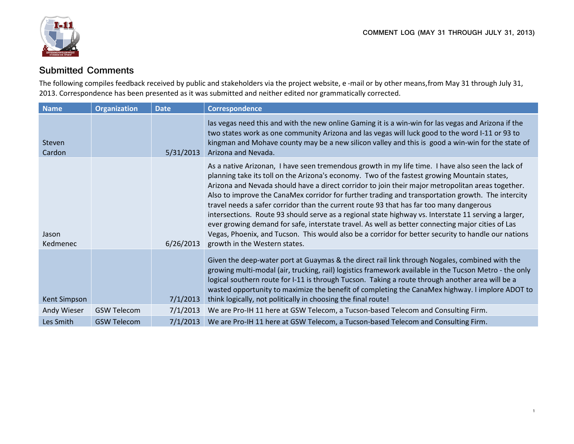

## **Submitted Comments**

The following compiles feedback received by public and stakeholders via the project website, e-mail or by other means, from May 31 through July 31, 2013. Correspondence has been presented as it was submitted and neither edited nor grammatically corrected.

| <b>Name</b>       | <b>Organization</b> | <b>Date</b> | <b>Correspondence</b>                                                                                                                                                                                                                                                                                                                                                                                                                                                                                                                                                                                                                                                                                                                                                                                                                                       |
|-------------------|---------------------|-------------|-------------------------------------------------------------------------------------------------------------------------------------------------------------------------------------------------------------------------------------------------------------------------------------------------------------------------------------------------------------------------------------------------------------------------------------------------------------------------------------------------------------------------------------------------------------------------------------------------------------------------------------------------------------------------------------------------------------------------------------------------------------------------------------------------------------------------------------------------------------|
| Steven<br>Cardon  |                     | 5/31/2013   | las vegas need this and with the new online Gaming it is a win-win for las vegas and Arizona if the<br>two states work as one community Arizona and las vegas will luck good to the word I-11 or 93 to<br>kingman and Mohave county may be a new silicon valley and this is good a win-win for the state of<br>Arizona and Nevada.                                                                                                                                                                                                                                                                                                                                                                                                                                                                                                                          |
| Jason<br>Kedmenec |                     | 6/26/2013   | As a native Arizonan, I have seen tremendous growth in my life time. I have also seen the lack of<br>planning take its toll on the Arizona's economy. Two of the fastest growing Mountain states,<br>Arizona and Nevada should have a direct corridor to join their major metropolitan areas together.<br>Also to improve the CanaMex corridor for further trading and transportation growth. The intercity<br>travel needs a safer corridor than the current route 93 that has far too many dangerous<br>intersections. Route 93 should serve as a regional state highway vs. Interstate 11 serving a larger,<br>ever growing demand for safe, interstate travel. As well as better connecting major cities of Las<br>Vegas, Phoenix, and Tucson. This would also be a corridor for better security to handle our nations<br>growth in the Western states. |
| Kent Simpson      |                     | 7/1/2013    | Given the deep-water port at Guaymas & the direct rail link through Nogales, combined with the<br>growing multi-modal (air, trucking, rail) logistics framework available in the Tucson Metro - the only<br>logical southern route for I-11 is through Tucson. Taking a route through another area will be a<br>wasted opportunity to maximize the benefit of completing the CanaMex highway. I implore ADOT to<br>think logically, not politically in choosing the final route!                                                                                                                                                                                                                                                                                                                                                                            |
| Andy Wieser       | <b>GSW Telecom</b>  | 7/1/2013    | We are Pro-IH 11 here at GSW Telecom, a Tucson-based Telecom and Consulting Firm.                                                                                                                                                                                                                                                                                                                                                                                                                                                                                                                                                                                                                                                                                                                                                                           |
| Les Smith         | <b>GSW Telecom</b>  | 7/1/2013    | We are Pro-IH 11 here at GSW Telecom, a Tucson-based Telecom and Consulting Firm.                                                                                                                                                                                                                                                                                                                                                                                                                                                                                                                                                                                                                                                                                                                                                                           |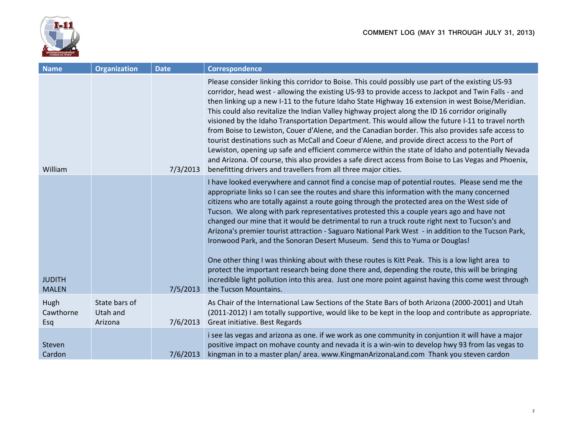

| <b>Name</b>                   | <b>Organization</b>                  | <b>Date</b> | <b>Correspondence</b>                                                                                                                                                                                                                                                                                                                                                                                                                                                                                                                                                                                                                                                                                                                                                                                                                                                                                                                                                                                           |
|-------------------------------|--------------------------------------|-------------|-----------------------------------------------------------------------------------------------------------------------------------------------------------------------------------------------------------------------------------------------------------------------------------------------------------------------------------------------------------------------------------------------------------------------------------------------------------------------------------------------------------------------------------------------------------------------------------------------------------------------------------------------------------------------------------------------------------------------------------------------------------------------------------------------------------------------------------------------------------------------------------------------------------------------------------------------------------------------------------------------------------------|
| William                       |                                      | 7/3/2013    | Please consider linking this corridor to Boise. This could possibly use part of the existing US-93<br>corridor, head west - allowing the existing US-93 to provide access to Jackpot and Twin Falls - and<br>then linking up a new I-11 to the future Idaho State Highway 16 extension in west Boise/Meridian.<br>This could also revitalize the Indian Valley highway project along the ID 16 corridor originally<br>visioned by the Idaho Transportation Department. This would allow the future I-11 to travel north<br>from Boise to Lewiston, Couer d'Alene, and the Canadian border. This also provides safe access to<br>tourist destinations such as McCall and Coeur d'Alene, and provide direct access to the Port of<br>Lewiston, opening up safe and efficient commerce within the state of Idaho and potentially Nevada<br>and Arizona. Of course, this also provides a safe direct access from Boise to Las Vegas and Phoenix,<br>benefitting drivers and travellers from all three major cities. |
|                               |                                      |             | I have looked everywhere and cannot find a concise map of potential routes. Please send me the<br>appropriate links so I can see the routes and share this information with the many concerned<br>citizens who are totally against a route going through the protected area on the West side of<br>Tucson. We along with park representatives protested this a couple years ago and have not<br>changed our mine that it would be detrimental to run a truck route right next to Tucson's and<br>Arizona's premier tourist attraction - Saguaro National Park West - in addition to the Tucson Park,<br>Ironwood Park, and the Sonoran Desert Museum. Send this to Yuma or Douglas!<br>One other thing I was thinking about with these routes is Kitt Peak. This is a low light area to<br>protect the important research being done there and, depending the route, this will be bringing                                                                                                                      |
| <b>JUDITH</b><br><b>MALEN</b> |                                      | 7/5/2013    | incredible light pollution into this area. Just one more point against having this come west through<br>the Tucson Mountains.                                                                                                                                                                                                                                                                                                                                                                                                                                                                                                                                                                                                                                                                                                                                                                                                                                                                                   |
| Hugh<br>Cawthorne<br>Esq      | State bars of<br>Utah and<br>Arizona | 7/6/2013    | As Chair of the International Law Sections of the State Bars of both Arizona (2000-2001) and Utah<br>(2011-2012) I am totally supportive, would like to be kept in the loop and contribute as appropriate.<br>Great initiative. Best Regards                                                                                                                                                                                                                                                                                                                                                                                                                                                                                                                                                                                                                                                                                                                                                                    |
| Steven<br>Cardon              |                                      | 7/6/2013    | i see las vegas and arizona as one. if we work as one community in conjuntion it will have a major<br>positive impact on mohave county and nevada it is a win-win to develop hwy 93 from las vegas to<br>kingman in to a master plan/area. www.KingmanArizonaLand.com Thank you steven cardon                                                                                                                                                                                                                                                                                                                                                                                                                                                                                                                                                                                                                                                                                                                   |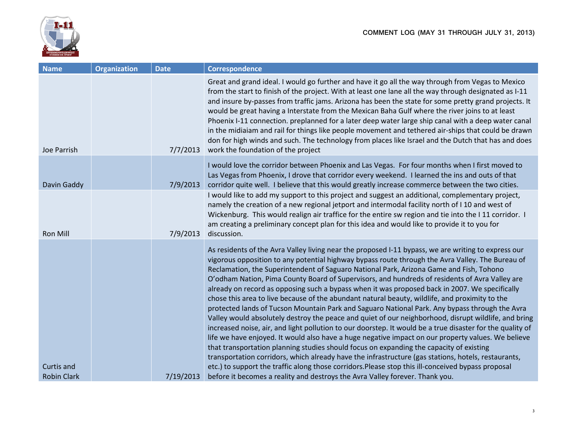

| <b>Name</b>        | <b>Organization</b> | <b>Date</b> | <b>Correspondence</b>                                                                                                                                                                                                                                                                                                                                                                                                                                                                                                                                                                                                                                                                                                                                                                                                                                                                                                                                                                                                                                                                                                                                                                                                                                                                                                                         |
|--------------------|---------------------|-------------|-----------------------------------------------------------------------------------------------------------------------------------------------------------------------------------------------------------------------------------------------------------------------------------------------------------------------------------------------------------------------------------------------------------------------------------------------------------------------------------------------------------------------------------------------------------------------------------------------------------------------------------------------------------------------------------------------------------------------------------------------------------------------------------------------------------------------------------------------------------------------------------------------------------------------------------------------------------------------------------------------------------------------------------------------------------------------------------------------------------------------------------------------------------------------------------------------------------------------------------------------------------------------------------------------------------------------------------------------|
| Joe Parrish        |                     | 7/7/2013    | Great and grand ideal. I would go further and have it go all the way through from Vegas to Mexico<br>from the start to finish of the project. With at least one lane all the way through designated as I-11<br>and insure by-passes from traffic jams. Arizona has been the state for some pretty grand projects. It<br>would be great having a Interstate from the Mexican Baha Gulf where the river joins to at least<br>Phoenix I-11 connection. preplanned for a later deep water large ship canal with a deep water canal<br>in the midiaiam and rail for things like people movement and tethered air-ships that could be drawn<br>don for high winds and such. The technology from places like Israel and the Dutch that has and does<br>work the foundation of the project                                                                                                                                                                                                                                                                                                                                                                                                                                                                                                                                                            |
| Davin Gaddy        |                     | 7/9/2013    | I would love the corridor between Phoenix and Las Vegas. For four months when I first moved to<br>Las Vegas from Phoenix, I drove that corridor every weekend. I learned the ins and outs of that<br>corridor quite well. I believe that this would greatly increase commerce between the two cities.                                                                                                                                                                                                                                                                                                                                                                                                                                                                                                                                                                                                                                                                                                                                                                                                                                                                                                                                                                                                                                         |
| <b>Ron Mill</b>    |                     | 7/9/2013    | I would like to add my support to this project and suggest an additional, complementary project,<br>namely the creation of a new regional jetport and intermodal facility north of I 10 and west of<br>Wickenburg. This would realign air traffice for the entire sw region and tie into the I 11 corridor. I<br>am creating a preliminary concept plan for this idea and would like to provide it to you for<br>discussion.                                                                                                                                                                                                                                                                                                                                                                                                                                                                                                                                                                                                                                                                                                                                                                                                                                                                                                                  |
| <b>Curtis and</b>  |                     |             | As residents of the Avra Valley living near the proposed I-11 bypass, we are writing to express our<br>vigorous opposition to any potential highway bypass route through the Avra Valley. The Bureau of<br>Reclamation, the Superintendent of Saguaro National Park, Arizona Game and Fish, Tohono<br>O'odham Nation, Pima County Board of Supervisors, and hundreds of residents of Avra Valley are<br>already on record as opposing such a bypass when it was proposed back in 2007. We specifically<br>chose this area to live because of the abundant natural beauty, wildlife, and proximity to the<br>protected lands of Tucson Mountain Park and Saguaro National Park. Any bypass through the Avra<br>Valley would absolutely destroy the peace and quiet of our neighborhood, disrupt wildlife, and bring<br>increased noise, air, and light pollution to our doorstep. It would be a true disaster for the quality of<br>life we have enjoyed. It would also have a huge negative impact on our property values. We believe<br>that transportation planning studies should focus on expanding the capacity of existing<br>transportation corridors, which already have the infrastructure (gas stations, hotels, restaurants,<br>etc.) to support the traffic along those corridors. Please stop this ill-conceived bypass proposal |
| <b>Robin Clark</b> |                     | 7/19/2013   | before it becomes a reality and destroys the Avra Valley forever. Thank you.                                                                                                                                                                                                                                                                                                                                                                                                                                                                                                                                                                                                                                                                                                                                                                                                                                                                                                                                                                                                                                                                                                                                                                                                                                                                  |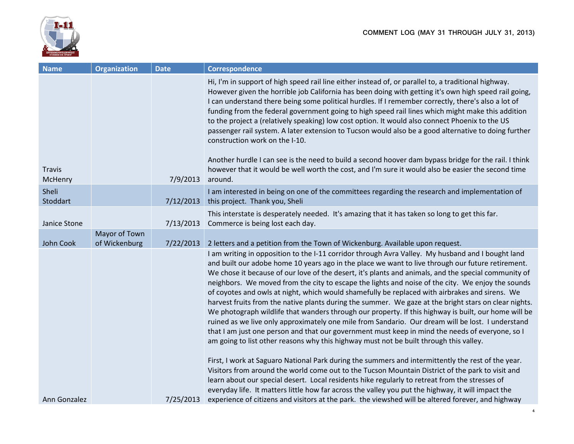

| <b>Name</b>              | <b>Organization</b>            | <b>Date</b> | Correspondence                                                                                                                                                                                                                                                                                                                                                                                                                                                                                                                                                                                                                                                                                                                                                                                                                                                                                                                                                                                                                           |
|--------------------------|--------------------------------|-------------|------------------------------------------------------------------------------------------------------------------------------------------------------------------------------------------------------------------------------------------------------------------------------------------------------------------------------------------------------------------------------------------------------------------------------------------------------------------------------------------------------------------------------------------------------------------------------------------------------------------------------------------------------------------------------------------------------------------------------------------------------------------------------------------------------------------------------------------------------------------------------------------------------------------------------------------------------------------------------------------------------------------------------------------|
| <b>Travis</b><br>McHenry |                                | 7/9/2013    | Hi, I'm in support of high speed rail line either instead of, or parallel to, a traditional highway.<br>However given the horrible job California has been doing with getting it's own high speed rail going,<br>I can understand there being some political hurdles. If I remember correctly, there's also a lot of<br>funding from the federal government going to high speed rail lines which might make this addition<br>to the project a (relatively speaking) low cost option. It would also connect Phoenix to the US<br>passenger rail system. A later extension to Tucson would also be a good alternative to doing further<br>construction work on the I-10.<br>Another hurdle I can see is the need to build a second hoover dam bypass bridge for the rail. I think<br>however that it would be well worth the cost, and I'm sure it would also be easier the second time<br>around.                                                                                                                                         |
| Sheli<br>Stoddart        |                                | 7/12/2013   | I am interested in being on one of the committees regarding the research and implementation of<br>this project. Thank you, Sheli                                                                                                                                                                                                                                                                                                                                                                                                                                                                                                                                                                                                                                                                                                                                                                                                                                                                                                         |
| Janice Stone             |                                | 7/13/2013   | This interstate is desperately needed. It's amazing that it has taken so long to get this far.<br>Commerce is being lost each day.                                                                                                                                                                                                                                                                                                                                                                                                                                                                                                                                                                                                                                                                                                                                                                                                                                                                                                       |
| John Cook                | Mayor of Town<br>of Wickenburg | 7/22/2013   | 2 letters and a petition from the Town of Wickenburg. Available upon request.                                                                                                                                                                                                                                                                                                                                                                                                                                                                                                                                                                                                                                                                                                                                                                                                                                                                                                                                                            |
|                          |                                |             | I am writing in opposition to the I-11 corridor through Avra Valley. My husband and I bought land<br>and built our adobe home 10 years ago in the place we want to live through our future retirement.<br>We chose it because of our love of the desert, it's plants and animals, and the special community of<br>neighbors. We moved from the city to escape the lights and noise of the city. We enjoy the sounds<br>of coyotes and owls at night, which would shamefully be replaced with airbrakes and sirens. We<br>harvest fruits from the native plants during the summer. We gaze at the bright stars on clear nights.<br>We photograph wildlife that wanders through our property. If this highway is built, our home will be<br>ruined as we live only approximately one mile from Sandario. Our dream will be lost. I understand<br>that I am just one person and that our government must keep in mind the needs of everyone, so I<br>am going to list other reasons why this highway must not be built through this valley. |
| Ann Gonzalez             |                                | 7/25/2013   | First, I work at Saguaro National Park during the summers and intermittently the rest of the year.<br>Visitors from around the world come out to the Tucson Mountain District of the park to visit and<br>learn about our special desert. Local residents hike regularly to retreat from the stresses of<br>everyday life. It matters little how far across the valley you put the highway, it will impact the<br>experience of citizens and visitors at the park. the viewshed will be altered forever, and highway                                                                                                                                                                                                                                                                                                                                                                                                                                                                                                                     |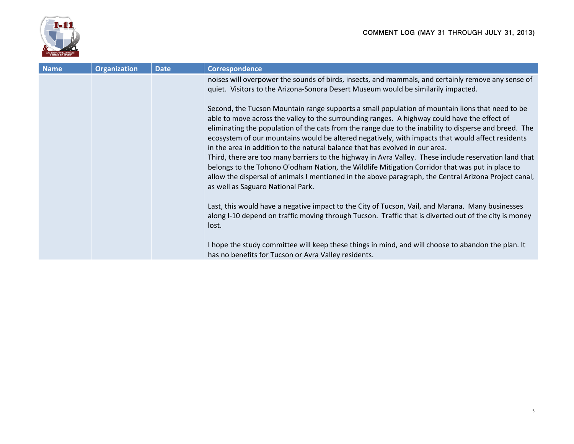

| <b>Name</b> | <b>Organization</b> | <b>Date</b> | Correspondence                                                                                                                                                                                                                                                                                                                                                                                                                                                                                                                                                                                                                                                                                                                                                                                                                                         |
|-------------|---------------------|-------------|--------------------------------------------------------------------------------------------------------------------------------------------------------------------------------------------------------------------------------------------------------------------------------------------------------------------------------------------------------------------------------------------------------------------------------------------------------------------------------------------------------------------------------------------------------------------------------------------------------------------------------------------------------------------------------------------------------------------------------------------------------------------------------------------------------------------------------------------------------|
|             |                     |             | noises will overpower the sounds of birds, insects, and mammals, and certainly remove any sense of<br>quiet. Visitors to the Arizona-Sonora Desert Museum would be similarily impacted.                                                                                                                                                                                                                                                                                                                                                                                                                                                                                                                                                                                                                                                                |
|             |                     |             | Second, the Tucson Mountain range supports a small population of mountain lions that need to be<br>able to move across the valley to the surrounding ranges. A highway could have the effect of<br>eliminating the population of the cats from the range due to the inability to disperse and breed. The<br>ecosystem of our mountains would be altered negatively, with impacts that would affect residents<br>in the area in addition to the natural balance that has evolved in our area.<br>Third, there are too many barriers to the highway in Avra Valley. These include reservation land that<br>belongs to the Tohono O'odham Nation, the Wildlife Mitigation Corridor that was put in place to<br>allow the dispersal of animals I mentioned in the above paragraph, the Central Arizona Project canal,<br>as well as Saguaro National Park. |
|             |                     |             | Last, this would have a negative impact to the City of Tucson, Vail, and Marana. Many businesses<br>along I-10 depend on traffic moving through Tucson. Traffic that is diverted out of the city is money<br>lost.<br>I hope the study committee will keep these things in mind, and will choose to abandon the plan. It<br>has no benefits for Tucson or Avra Valley residents.                                                                                                                                                                                                                                                                                                                                                                                                                                                                       |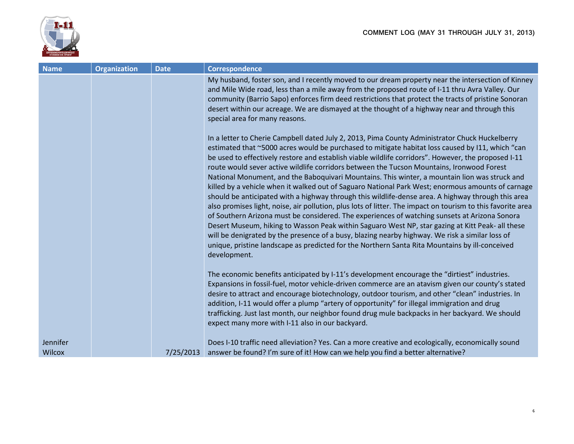

| <b>Name</b> | <b>Organization</b> | <b>Date</b> | Correspondence                                                                                                                                                                                                                                                                                                                                                                                                                                                                                                                                                                                                                                                                                                                                                                                                                                                                                                                                                                                                                                                                                                                                                                                                                                              |
|-------------|---------------------|-------------|-------------------------------------------------------------------------------------------------------------------------------------------------------------------------------------------------------------------------------------------------------------------------------------------------------------------------------------------------------------------------------------------------------------------------------------------------------------------------------------------------------------------------------------------------------------------------------------------------------------------------------------------------------------------------------------------------------------------------------------------------------------------------------------------------------------------------------------------------------------------------------------------------------------------------------------------------------------------------------------------------------------------------------------------------------------------------------------------------------------------------------------------------------------------------------------------------------------------------------------------------------------|
|             |                     |             | My husband, foster son, and I recently moved to our dream property near the intersection of Kinney<br>and Mile Wide road, less than a mile away from the proposed route of I-11 thru Avra Valley. Our<br>community (Barrio Sapo) enforces firm deed restrictions that protect the tracts of pristine Sonoran<br>desert within our acreage. We are dismayed at the thought of a highway near and through this<br>special area for many reasons.                                                                                                                                                                                                                                                                                                                                                                                                                                                                                                                                                                                                                                                                                                                                                                                                              |
|             |                     |             | In a letter to Cherie Campbell dated July 2, 2013, Pima County Administrator Chuck Huckelberry<br>estimated that ~5000 acres would be purchased to mitigate habitat loss caused by I11, which "can<br>be used to effectively restore and establish viable wildlife corridors". However, the proposed I-11<br>route would sever active wildlife corridors between the Tucson Mountains, Ironwood Forest<br>National Monument, and the Baboquivari Mountains. This winter, a mountain lion was struck and<br>killed by a vehicle when it walked out of Saguaro National Park West; enormous amounts of carnage<br>should be anticipated with a highway through this wildlife-dense area. A highway through this area<br>also promises light, noise, air pollution, plus lots of litter. The impact on tourism to this favorite area<br>of Southern Arizona must be considered. The experiences of watching sunsets at Arizona Sonora<br>Desert Museum, hiking to Wasson Peak within Saguaro West NP, star gazing at Kitt Peak- all these<br>will be denigrated by the presence of a busy, blazing nearby highway. We risk a similar loss of<br>unique, pristine landscape as predicted for the Northern Santa Rita Mountains by ill-conceived<br>development. |
|             |                     |             | The economic benefits anticipated by I-11's development encourage the "dirtiest" industries.<br>Expansions in fossil-fuel, motor vehicle-driven commerce are an atavism given our county's stated<br>desire to attract and encourage biotechnology, outdoor tourism, and other "clean" industries. In<br>addition, I-11 would offer a plump "artery of opportunity" for illegal immigration and drug<br>trafficking. Just last month, our neighbor found drug mule backpacks in her backyard. We should<br>expect many more with I-11 also in our backyard.                                                                                                                                                                                                                                                                                                                                                                                                                                                                                                                                                                                                                                                                                                 |
| Jennifer    |                     |             | Does I-10 traffic need alleviation? Yes. Can a more creative and ecologically, economically sound                                                                                                                                                                                                                                                                                                                                                                                                                                                                                                                                                                                                                                                                                                                                                                                                                                                                                                                                                                                                                                                                                                                                                           |
| Wilcox      |                     | 7/25/2013   | answer be found? I'm sure of it! How can we help you find a better alternative?                                                                                                                                                                                                                                                                                                                                                                                                                                                                                                                                                                                                                                                                                                                                                                                                                                                                                                                                                                                                                                                                                                                                                                             |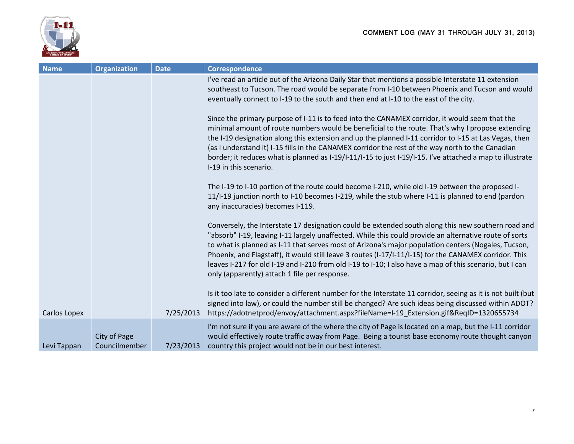



| <b>Name</b>  | <b>Organization</b>           | <b>Date</b> | <b>Correspondence</b>                                                                                                                                                                                                                                                                                                                                                                                                                                                                                                                                                                      |
|--------------|-------------------------------|-------------|--------------------------------------------------------------------------------------------------------------------------------------------------------------------------------------------------------------------------------------------------------------------------------------------------------------------------------------------------------------------------------------------------------------------------------------------------------------------------------------------------------------------------------------------------------------------------------------------|
|              |                               |             | I've read an article out of the Arizona Daily Star that mentions a possible Interstate 11 extension<br>southeast to Tucson. The road would be separate from I-10 between Phoenix and Tucson and would<br>eventually connect to I-19 to the south and then end at I-10 to the east of the city.                                                                                                                                                                                                                                                                                             |
|              |                               |             | Since the primary purpose of I-11 is to feed into the CANAMEX corridor, it would seem that the<br>minimal amount of route numbers would be beneficial to the route. That's why I propose extending<br>the I-19 designation along this extension and up the planned I-11 corridor to I-15 at Las Vegas, then<br>(as I understand it) I-15 fills in the CANAMEX corridor the rest of the way north to the Canadian<br>border; it reduces what is planned as I-19/I-11/I-15 to just I-19/I-15. I've attached a map to illustrate<br>I-19 in this scenario.                                    |
|              |                               |             | The I-19 to I-10 portion of the route could become I-210, while old I-19 between the proposed I-<br>11/I-19 junction north to I-10 becomes I-219, while the stub where I-11 is planned to end (pardon<br>any inaccuracies) becomes I-119.                                                                                                                                                                                                                                                                                                                                                  |
|              |                               |             | Conversely, the Interstate 17 designation could be extended south along this new southern road and<br>"absorb" I-19, leaving I-11 largely unaffected. While this could provide an alternative route of sorts<br>to what is planned as I-11 that serves most of Arizona's major population centers (Nogales, Tucson,<br>Phoenix, and Flagstaff), it would still leave 3 routes (I-17/I-11/I-15) for the CANAMEX corridor. This<br>leaves I-217 for old I-19 and I-210 from old I-19 to I-10; I also have a map of this scenario, but I can<br>only (apparently) attach 1 file per response. |
| Carlos Lopex |                               | 7/25/2013   | Is it too late to consider a different number for the Interstate 11 corridor, seeing as it is not built (but<br>signed into law), or could the number still be changed? Are such ideas being discussed within ADOT?<br>https://adotnetprod/envoy/attachment.aspx?fileName=I-19 Extension.gif&ReqID=1320655734                                                                                                                                                                                                                                                                              |
| Levi Tappan  | City of Page<br>Councilmember | 7/23/2013   | I'm not sure if you are aware of the where the city of Page is located on a map, but the I-11 corridor<br>would effectively route traffic away from Page. Being a tourist base economy route thought canyon<br>country this project would not be in our best interest.                                                                                                                                                                                                                                                                                                                     |